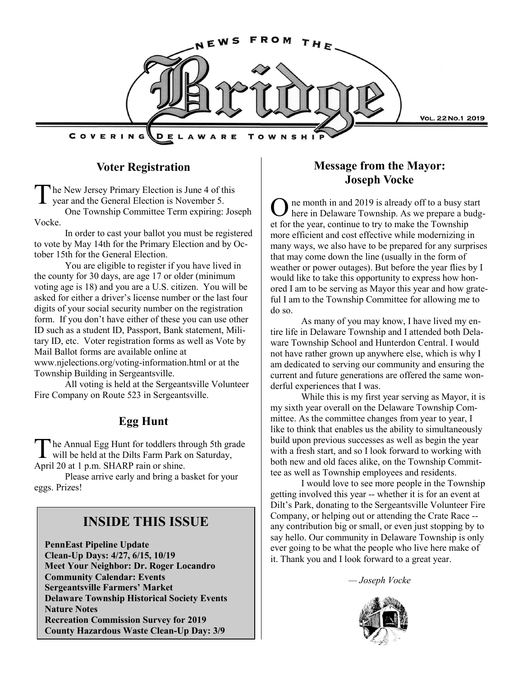

## **Voter Registration**

The New Jersey Primary Election is June 4 of the year and the General Election is November 5. he New Jersey Primary Election is June 4 of this

One Township Committee Term expiring: Joseph Vocke.

In order to cast your ballot you must be registered to vote by May 14th for the Primary Election and by October 15th for the General Election.

You are eligible to register if you have lived in the county for 30 days, are age 17 or older (minimum voting age is 18) and you are a U.S. citizen. You will be asked for either a driver's license number or the last four digits of your social security number on the registration form. If you don't have either of these you can use other ID such as a student ID, Passport, Bank statement, Military ID, etc. Voter registration forms as well as Vote by Mail Ballot forms are available online at www.njelections.org/voting-information.html or at the Township Building in Sergeantsville.

All voting is held at the Sergeantsville Volunteer Fire Company on Route 523 in Sergeantsville.

# **Egg Hunt**

The Annual Egg Hunt for toddlers through 5th grawill be held at the Dilts Farm Park on Saturday, he Annual Egg Hunt for toddlers through 5th grade April 20 at 1 p.m. SHARP rain or shine.

Please arrive early and bring a basket for your eggs. Prizes!

# **INSIDE THIS ISSUE**

**PennEast Pipeline Update Clean-Up Days: 4/27, 6/15, 10/19 Meet Your Neighbor: Dr. Roger Locandro Community Calendar: Events Sergeantsville Farmers' Market Delaware Township Historical Society Events Nature Notes Recreation Commission Survey for 2019 County Hazardous Waste Clean-Up Day: 3/9**

# **Message from the Mayor: Joseph Vocke**

O ne month in and 2019 is already off to a busy start here in Delaware Township. As we prepare a budget for the year, continue to try to make the Township more efficient and cost effective while modernizing in many ways, we also have to be prepared for any surprises that may come down the line (usually in the form of weather or power outages). But before the year flies by I would like to take this opportunity to express how honored I am to be serving as Mayor this year and how grateful I am to the Township Committee for allowing me to do so.

As many of you may know, I have lived my entire life in Delaware Township and I attended both Delaware Township School and Hunterdon Central. I would not have rather grown up anywhere else, which is why I am dedicated to serving our community and ensuring the current and future generations are offered the same wonderful experiences that I was.

While this is my first year serving as Mayor, it is my sixth year overall on the Delaware Township Committee. As the committee changes from year to year, I like to think that enables us the ability to simultaneously build upon previous successes as well as begin the year with a fresh start, and so I look forward to working with both new and old faces alike, on the Township Committee as well as Township employees and residents.

I would love to see more people in the Township getting involved this year -- whether it is for an event at Dilt's Park, donating to the Sergeantsville Volunteer Fire Company, or helping out or attending the Crate Race - any contribution big or small, or even just stopping by to say hello. Our community in Delaware Township is only ever going to be what the people who live here make of it. Thank you and I look forward to a great year.

*— Joseph Vocke*

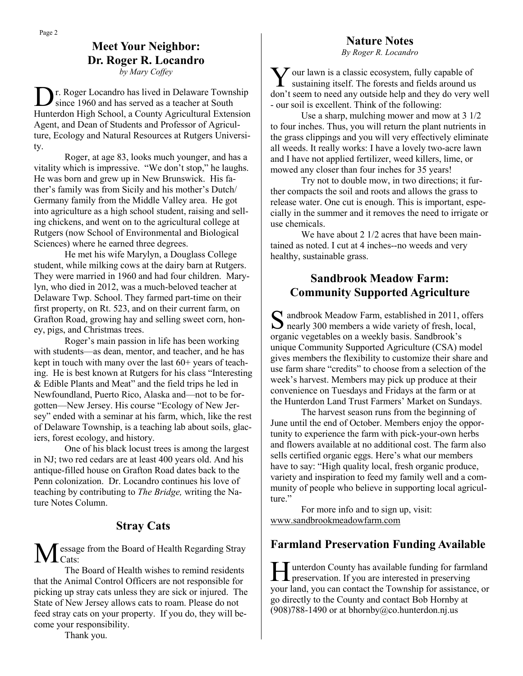**Meet Your Neighbor: Dr. Roger R. Locandro** *by Mary Coffey*

D r. Roger Locandro has lived in Delaware Township since 1960 and has served as a teacher at South Hunterdon High School, a County Agricultural Extension Agent, and Dean of Students and Professor of Agriculture, Ecology and Natural Resources at Rutgers University.

Roger, at age 83, looks much younger, and has a vitality which is impressive. "We don't stop," he laughs. He was born and grew up in New Brunswick. His father's family was from Sicily and his mother's Dutch/ Germany family from the Middle Valley area. He got into agriculture as a high school student, raising and selling chickens, and went on to the agricultural college at Rutgers (now School of Environmental and Biological Sciences) where he earned three degrees.

He met his wife Marylyn, a Douglass College student, while milking cows at the dairy barn at Rutgers. They were married in 1960 and had four children. Marylyn, who died in 2012, was a much-beloved teacher at Delaware Twp. School. They farmed part-time on their first property, on Rt. 523, and on their current farm, on Grafton Road, growing hay and selling sweet corn, honey, pigs, and Christmas trees.

Roger's main passion in life has been working with students—as dean, mentor, and teacher, and he has kept in touch with many over the last 60+ years of teaching. He is best known at Rutgers for his class "Interesting & Edible Plants and Meat" and the field trips he led in Newfoundland, Puerto Rico, Alaska and—not to be forgotten—New Jersey. His course "Ecology of New Jersey" ended with a seminar at his farm, which, like the rest of Delaware Township, is a teaching lab about soils, glaciers, forest ecology, and history.

One of his black locust trees is among the largest in NJ; two red cedars are at least 400 years old. And his antique-filled house on Grafton Road dates back to the Penn colonization. Dr. Locandro continues his love of teaching by contributing to *The Bridge,* writing the Nature Notes Column.

## **Stray Cats**

Message from the Board of Health Regarding Stray I Cats<sup>-</sup>

The Board of Health wishes to remind residents that the Animal Control Officers are not responsible for picking up stray cats unless they are sick or injured. The State of New Jersey allows cats to roam. Please do not feed stray cats on your property. If you do, they will become your responsibility.

#### **Nature Notes**

*By Roger R. Locandro*

**Y** our lawn is a classic ecosystem, fully capable of sustaining itself. The forests and fields around us  $\sum$  our lawn is a classic ecosystem, fully capable of don't seem to need any outside help and they do very well - our soil is excellent. Think of the following:

Use a sharp, mulching mower and mow at 3 1/2 to four inches. Thus, you will return the plant nutrients in the grass clippings and you will very effectively eliminate all weeds. It really works: I have a lovely two-acre lawn and I have not applied fertilizer, weed killers, lime, or mowed any closer than four inches for 35 years!

Try not to double mow, in two directions; it further compacts the soil and roots and allows the grass to release water. One cut is enough. This is important, especially in the summer and it removes the need to irrigate or use chemicals.

We have about 2 1/2 acres that have been maintained as noted. I cut at 4 inches--no weeds and very healthy, sustainable grass.

## **Sandbrook Meadow Farm: Community Supported Agriculture**

S andbrook Meadow Farm, established in 2011, offers<br>
S nearly 300 members a wide variety of fresh, local,  $\Box$  nearly 300 members a wide variety of fresh, local, organic vegetables on a weekly basis. Sandbrook's unique Community Supported Agriculture (CSA) model gives members the flexibility to customize their share and use farm share "credits" to choose from a selection of the week's harvest. Members may pick up produce at their convenience on Tuesdays and Fridays at the farm or at the Hunterdon Land Trust Farmers' Market on Sundays.

The harvest season runs from the beginning of June until the end of October. Members enjoy the opportunity to experience the farm with pick-your-own herbs and flowers available at no additional cost. The farm also sells certified organic eggs. Here's what our members have to say: "High quality local, fresh organic produce, variety and inspiration to feed my family well and a community of people who believe in supporting local agriculture."

For more info and to sign up, visit: [www.sandbrookmeadowfarm.com](http://www.sandbrookmeadowfarm.com/)

# **Farmland Preservation Funding Available**

Hunterdon County has available funding for farm<br>preservation. If you are interested in preserving unterdon County has available funding for farmland your land, you can contact the Township for assistance, or go directly to the County and contact Bob Hornby at  $(908)788-1490$  or at bhornby@co.hunterdon.nj.us

Thank you.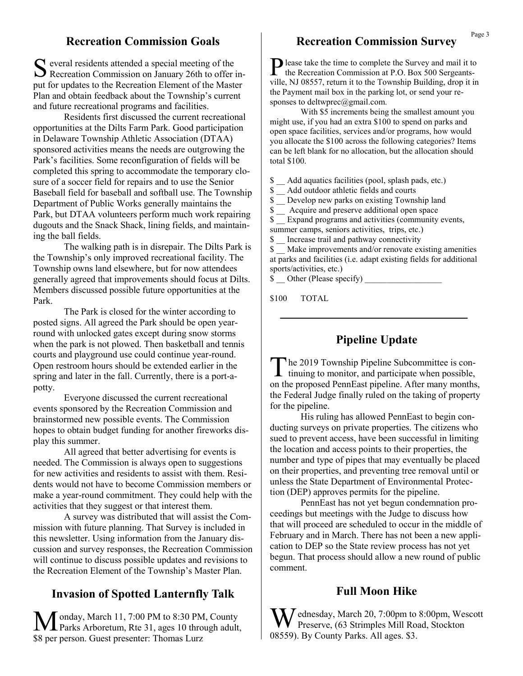#### **Recreation Commission Goals**

S everal residents attended a special meeting of the<br>Recreation Commission on January 26th to offer in- $\Gamma$  everal residents attended a special meeting of the put for updates to the Recreation Element of the Master Plan and obtain feedback about the Township's current and future recreational programs and facilities.

Residents first discussed the current recreational opportunities at the Dilts Farm Park. Good participation in Delaware Township Athletic Association (DTAA) sponsored activities means the needs are outgrowing the Park's facilities. Some reconfiguration of fields will be completed this spring to accommodate the temporary closure of a soccer field for repairs and to use the Senior Baseball field for baseball and softball use. The Township Department of Public Works generally maintains the Park, but DTAA volunteers perform much work repairing dugouts and the Snack Shack, lining fields, and maintaining the ball fields.

The walking path is in disrepair. The Dilts Park is the Township's only improved recreational facility. The Township owns land elsewhere, but for now attendees generally agreed that improvements should focus at Dilts. Members discussed possible future opportunities at the Park.

The Park is closed for the winter according to posted signs. All agreed the Park should be open yearround with unlocked gates except during snow storms when the park is not plowed. Then basketball and tennis courts and playground use could continue year-round. Open restroom hours should be extended earlier in the spring and later in the fall. Currently, there is a port-apotty.

Everyone discussed the current recreational events sponsored by the Recreation Commission and brainstormed new possible events. The Commission hopes to obtain budget funding for another fireworks display this summer.

All agreed that better advertising for events is needed. The Commission is always open to suggestions for new activities and residents to assist with them. Residents would not have to become Commission members or make a year-round commitment. They could help with the activities that they suggest or that interest them.

A survey was distributed that will assist the Commission with future planning. That Survey is included in this newsletter. Using information from the January discussion and survey responses, the Recreation Commission will continue to discuss possible updates and revisions to the Recreation Element of the Township's Master Plan.

## **Invasion of Spotted Lanternfly Talk**

Monday, March 11, 7:00 PM to 8:30 PM, County<br>Parks Arboretum, Rte 31, ages 10 through adult, \$8 per person. Guest presenter: Thomas Lurz

# **Recreation Commission Survey**

**P** lease take the time to complete the Survey and mail it to the Recreation Commission at P.O. Box 500 Sergeantsthe Recreation Commission at P.O. Box 500 Sergeantsville, NJ 08557, return it to the Township Building, drop it in the Payment mail box in the parking lot, or send your responses to deltwprec@gmail.com.

With \$5 increments being the smallest amount you might use, if you had an extra \$100 to spend on parks and open space facilities, services and/or programs, how would you allocate the \$100 across the following categories? Items can be left blank for no allocation, but the allocation should total \$100.

\$ \_\_ Add aquatics facilities (pool, splash pads, etc.)

\$ \_\_ Add outdoor athletic fields and courts

\$ \_\_ Develop new parks on existing Township land

\$ Acquire and preserve additional open space

 $\sqrt{$}$  Expand programs and activities (community events, summer camps, seniors activities, trips, etc.)

\$ \_\_ Increase trail and pathway connectivity

\$ \_\_ Make improvements and/or renovate existing amenities at parks and facilities (i.e. adapt existing fields for additional sports/activities, etc.)

\$ Other (Please specify)

\$100 TOTAL

## **Pipeline Update**

The 2019 Township Pipeline Subcommittee is continuing to monitor, and participate when possible, he 2019 Township Pipeline Subcommittee is conon the proposed PennEast pipeline. After many months, the Federal Judge finally ruled on the taking of property for the pipeline.

His ruling has allowed PennEast to begin conducting surveys on private properties. The citizens who sued to prevent access, have been successful in limiting the location and access points to their properties, the number and type of pipes that may eventually be placed on their properties, and preventing tree removal until or unless the State Department of Environmental Protection (DEP) approves permits for the pipeline.

PennEast has not yet begun condemnation proceedings but meetings with the Judge to discuss how that will proceed are scheduled to occur in the middle of February and in March. There has not been a new application to DEP so the State review process has not yet begun. That process should allow a new round of public comment.

#### **Full Moon Hike**

 $\sum$  dnesday, March 20, 7:00pm to 8:00pm, Wescott Preserve, (63 Strimples Mill Road, Stockton 08559). By County Parks. All ages. \$3.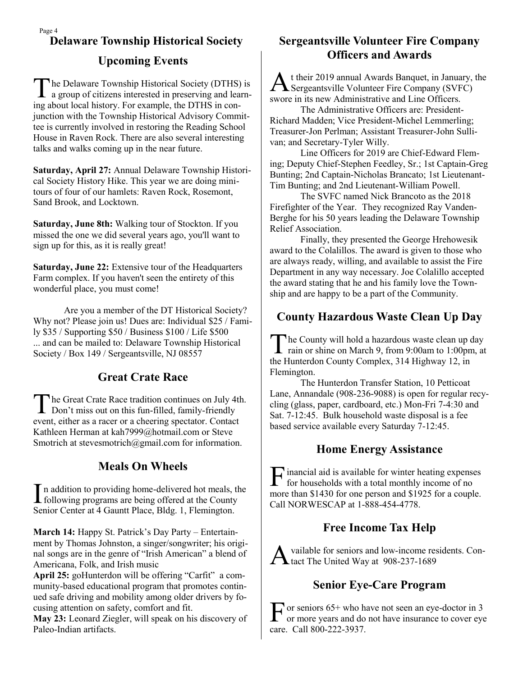# Page 4 **Upcoming Events**

The Delaware Township Historical Society (DTHS) is<br>a group of citizens interested in preserving and learnhe Delaware Township Historical Society (DTHS) is ing about local history. For example, the DTHS in conjunction with the Township Historical Advisory Committee is currently involved in restoring the Reading School House in Raven Rock. There are also several interesting talks and walks coming up in the near future.

**Saturday, April 27:** Annual Delaware Township Historical Society History Hike. This year we are doing minitours of four of our hamlets: Raven Rock, Rosemont, Sand Brook, and Locktown.

**Saturday, June 8th:** Walking tour of Stockton. If you missed the one we did several years ago, you'll want to sign up for this, as it is really great!

**Saturday, June 22:** Extensive tour of the Headquarters Farm complex. If you haven't seen the entirety of this wonderful place, you must come!

Are you a member of the DT Historical Society? Why not? Please join us! Dues are: Individual \$25 / Family \$35 / Supporting \$50 / Business \$100 / Life \$500 ... and can be mailed to: Delaware Township Historical Society / Box 149 / Sergeantsville, NJ 08557

# **Great Crate Race**

The Great Crate Race tradition continues on July 4<br>Don't miss out on this fun-filled, family-friendly he Great Crate Race tradition continues on July 4th. event, either as a racer or a cheering spectator. Contact Kathleen Herman at kah7999@hotmail.com or Steve Smotrich at stevesmotrich@gmail.com for information.

# **Meals On Wheels**

In addition to providing home-delivered hot meals, the following programs are being offered at the County n addition to providing home-delivered hot meals, the Senior Center at 4 Gauntt Place, Bldg. 1, Flemington.

**March 14:** Happy St. Patrick's Day Party – Entertainment by Thomas Johnston, a singer/songwriter; his original songs are in the genre of "Irish American" a blend of Americana, Folk, and Irish music

April 25: goHunterdon will be offering "Carfit" a community-based educational program that promotes continued safe driving and mobility among older drivers by focusing attention on safety, comfort and fit.

**May 23:** Leonard Ziegler, will speak on his discovery of Paleo-Indian artifacts.

# **Delaware Township Historical Society Sergeantsville Volunteer Fire Company Officers and Awards**

A Sergeantsville Volunteer Fire Company (SVFC) t their 2019 annual Awards Banquet, in January, the swore in its new Administrative and Line Officers.

The Administrative Officers are: President-Richard Madden; Vice President-Michel Lemmerling; Treasurer-Jon Perlman; Assistant Treasurer-John Sullivan; and Secretary-Tyler Willy.

Line Officers for 2019 are Chief-Edward Fleming; Deputy Chief-Stephen Feedley, Sr.; 1st Captain-Greg Bunting; 2nd Captain-Nicholas Brancato; 1st Lieutenant-Tim Bunting; and 2nd Lieutenant-William Powell.

The SVFC named Nick Brancoto as the 2018 Firefighter of the Year. They recognized Ray Vanden-Berghe for his 50 years leading the Delaware Township Relief Association.

Finally, they presented the George Hrehowesik award to the Colalillos. The award is given to those who are always ready, willing, and available to assist the Fire Department in any way necessary. Joe Colalillo accepted the award stating that he and his family love the Township and are happy to be a part of the Community.

# **County Hazardous Waste Clean Up Day**

T The County will hold a hazardous waste clean up day rain or shine on March 9, from 9:00am to 1:00pm, at the Hunterdon County Complex, 314 Highway 12, in Flemington.

The Hunterdon Transfer Station, 10 Petticoat Lane, Annandale (908-236-9088) is open for regular recycling (glass, paper, cardboard, etc.) Mon-Fri 7-4:30 and Sat. 7-12:45. Bulk household waste disposal is a fee based service available every Saturday 7-12:45.

# **Home Energy Assistance**

F inancial aid is available for winter heating expenses<br>for households with a total monthly income of no for households with a total monthly income of no more than \$1430 for one person and \$1925 for a couple. Call NORWESCAP at 1-888-454-4778.

# **Free Income Tax Help**

A vailable for seniors and low-income rest<br>tact The United Way at 908-237-1689 vailable for seniors and low-income residents. Con-

# **Senior Eye-Care Program**

F or seniors 65+ who have not seen an eye-doctor in 3 or more years and do not have insurance to cover eye or more years and do not have insurance to cover eye care. Call 800-222-3937.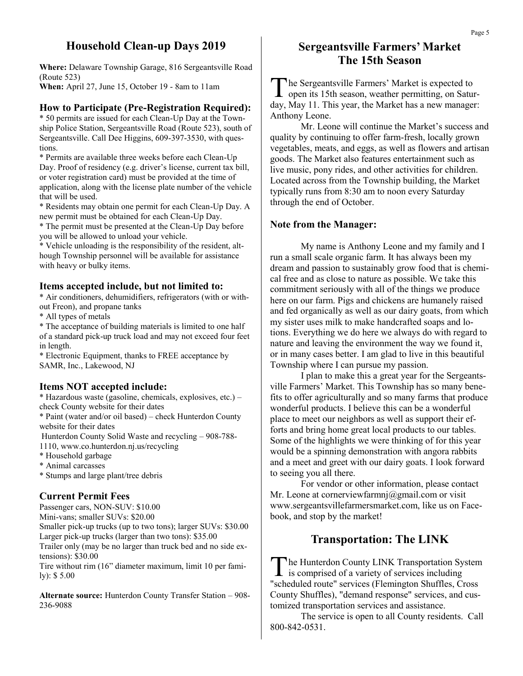## **Household Clean-up Days 2019**

**Where:** Delaware Township Garage, 816 Sergeantsville Road (Route 523) **When:** April 27, June 15, October 19 - 8am to 11am

#### **How to Participate (Pre-Registration Required):**

\* 50 permits are issued for each Clean-Up Day at the Township Police Station, Sergeantsville Road (Route 523), south of Sergeantsville. Call Dee Higgins, 609-397-3530, with questions.

\* Permits are available three weeks before each Clean-Up Day. Proof of residency (e.g. driver's license, current tax bill, or voter registration card) must be provided at the time of application, along with the license plate number of the vehicle that will be used.

\* Residents may obtain one permit for each Clean-Up Day. A new permit must be obtained for each Clean-Up Day.

\* The permit must be presented at the Clean-Up Day before you will be allowed to unload your vehicle.

\* Vehicle unloading is the responsibility of the resident, although Township personnel will be available for assistance with heavy or bulky items.

#### **Items accepted include, but not limited to:**

\* Air conditioners, dehumidifiers, refrigerators (with or without Freon), and propane tanks

\* All types of metals

\* The acceptance of building materials is limited to one half of a standard pick-up truck load and may not exceed four feet in length.

\* Electronic Equipment, thanks to FREE acceptance by SAMR, Inc., Lakewood, NJ

#### **Items NOT accepted include:**

\* Hazardous waste (gasoline, chemicals, explosives, etc.) – check County website for their dates

\* Paint (water and/or oil based) – check Hunterdon County website for their dates

Hunterdon County Solid Waste and recycling – 908-788- 1110, www.co.hunterdon.nj.us/recycling

\* Household garbage

\* Animal carcasses

\* Stumps and large plant/tree debris

#### **Current Permit Fees**

Passenger cars, NON-SUV: \$10.00 Mini-vans; smaller SUVs: \$20.00 Smaller pick-up trucks (up to two tons); larger SUVs: \$30.00 Larger pick-up trucks (larger than two tons): \$35.00 Trailer only (may be no larger than truck bed and no side extensions): \$30.00 Tire without rim (16" diameter maximum, limit 10 per family): \$ 5.00

**Alternate source:** Hunterdon County Transfer Station – 908- 236-9088

## **Sergeantsville Farmers' Market The 15th Season**

The Sergeantsville Farmers' Market is expected to open its 15th season, weather permitting, on Saturhe Sergeantsville Farmers' Market is expected to day, May 11. This year, the Market has a new manager: Anthony Leone.

Mr. Leone will continue the Market's success and quality by continuing to offer farm-fresh, locally grown vegetables, meats, and eggs, as well as flowers and artisan goods. The Market also features entertainment such as live music, pony rides, and other activities for children. Located across from the Township building, the Market typically runs from 8:30 am to noon every Saturday through the end of October.

#### **Note from the Manager:**

My name is Anthony Leone and my family and I run a small scale organic farm. It has always been my dream and passion to sustainably grow food that is chemical free and as close to nature as possible. We take this commitment seriously with all of the things we produce here on our farm. Pigs and chickens are humanely raised and fed organically as well as our dairy goats, from which my sister uses milk to make handcrafted soaps and lotions. Everything we do here we always do with regard to nature and leaving the environment the way we found it, or in many cases better. I am glad to live in this beautiful Township where I can pursue my passion.

I plan to make this a great year for the Sergeantsville Farmers' Market. This Township has so many benefits to offer agriculturally and so many farms that produce wonderful products. I believe this can be a wonderful place to meet our neighbors as well as support their efforts and bring home great local products to our tables. Some of the highlights we were thinking of for this year would be a spinning demonstration with angora rabbits and a meet and greet with our dairy goats. I look forward to seeing you all there.

For vendor or other information, please contact Mr. Leone at cornerviewfarmnj@gmail.com or visit www.sergeantsvillefarmersmarket.com, like us on Facebook, and stop by the market!

## **Transportation: The LINK**

The Hunterdon County LINK Transportation Sy<br>is comprised of a variety of services including he Hunterdon County LINK Transportation System "scheduled route" services (Flemington Shuffles, Cross County Shuffles), "demand response" services, and customized transportation services and assistance.

The service is open to all County residents. Call 800-842-0531.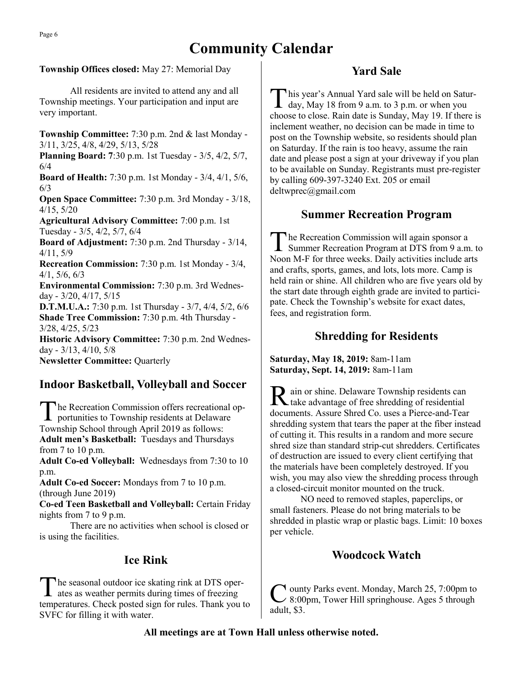# **Community Calendar**

#### **Township Offices closed:** May 27: Memorial Day

All residents are invited to attend any and all Township meetings. Your participation and input are very important.

**Township Committee:** 7:30 p.m. 2nd & last Monday - 3/11, 3/25, 4/8, 4/29, 5/13, 5/28

**Planning Board: 7**:30 p.m. 1st Tuesday - 3/5, 4/2, 5/7, 6/4

**Board of Health:** 7:30 p.m. 1st Monday - 3/4, 4/1, 5/6, 6/3

**Open Space Committee:** 7:30 p.m. 3rd Monday - 3/18, 4/15, 5/20

**Agricultural Advisory Committee:** 7:00 p.m. 1st Tuesday - 3/5, 4/2, 5/7, 6/4

**Board of Adjustment:** 7:30 p.m. 2nd Thursday - 3/14, 4/11, 5/9

**Recreation Commission:** 7:30 p.m. 1st Monday - 3/4, 4/1, 5/6, 6/3

**Environmental Commission:** 7:30 p.m. 3rd Wednesday - 3/20, 4/17, 5/15

**D.T.M.U.A.:** 7:30 p.m. 1st Thursday - 3/7, 4/4, 5/2, 6/6 **Shade Tree Commission:** 7:30 p.m. 4th Thursday - 3/28, 4/25, 5/23

**Historic Advisory Committee:** 7:30 p.m. 2nd Wednesday - 3/13, 4/10, 5/8

**Newsletter Committee:** Quarterly

# **Indoor Basketball, Volleyball and Soccer**

The Recreation Commission offers recreational<br>portunities to Township residents at Delaware he Recreation Commission offers recreational op-Township School through April 2019 as follows: **Adult men's Basketball:** Tuesdays and Thursdays from 7 to 10 p.m.

**Adult Co-ed Volleyball:** Wednesdays from 7:30 to 10 p.m.

**Adult Co-ed Soccer:** Mondays from 7 to 10 p.m. (through June 2019)

**Co-ed Teen Basketball and Volleyball:** Certain Friday nights from 7 to 9 p.m.

There are no activities when school is closed or is using the facilities.

## **Ice Rink**

T he seasonal outdoor ice skating rink at DTS operates as weather permits during times of freezing temperatures. Check posted sign for rules. Thank you to SVFC for filling it with water.

# **Yard Sale**

T his year's Annual Yard sale will be held on Saturday, May 18 from 9 a.m. to 3 p.m. or when you choose to close. Rain date is Sunday, May 19. If there is inclement weather, no decision can be made in time to post on the Township website, so residents should plan on Saturday. If the rain is too heavy, assume the rain date and please post a sign at your driveway if you plan to be available on Sunday. Registrants must pre-register by calling 609-397-3240 Ext. 205 or email deltwprec@gmail.com

## **Summer Recreation Program**

The Recreation Commission will again sponsor a<br>Summer Recreation Program at DTS from 9 a.m. to he Recreation Commission will again sponsor a Noon M-F for three weeks. Daily activities include arts and crafts, sports, games, and lots, lots more. Camp is held rain or shine. All children who are five years old by the start date through eighth grade are invited to participate. Check the Township's website for exact dates, fees, and registration form.

#### **Shredding for Residents**

**Saturday, May 18, 2019:** 8am-11am **Saturday, Sept. 14, 2019:** 8am-11am

R ain or shine. Delaware Township residents can<br>take advantage of free shredding of residential take advantage of free shredding of residential documents. Assure Shred Co. uses a Pierce-and-Tear shredding system that tears the paper at the fiber instead of cutting it. This results in a random and more secure shred size than standard strip-cut shredders. Certificates of destruction are issued to every client certifying that the materials have been completely destroyed. If you wish, you may also view the shredding process through a closed-circuit monitor mounted on the truck.

NO need to removed staples, paperclips, or small fasteners. Please do not bring materials to be shredded in plastic wrap or plastic bags. Limit: 10 boxes per vehicle.

## **Woodcock Watch**

C ounty Parks event. Monday, March 25, 7:00pm to 8:00pm, Tower Hill springhouse. Ages 5 through adult, \$3.

#### **All meetings are at Town Hall unless otherwise noted.**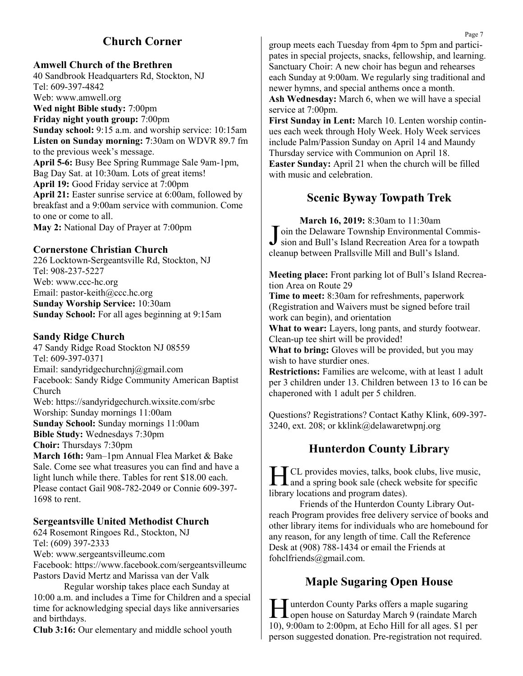# **Church Corner**

**Amwell Church of the Brethren**

40 Sandbrook Headquarters Rd, Stockton, NJ Tel: 609-397-4842 Web: www.amwell.org **Wed night Bible study:** 7:00pm **Friday night youth group:** 7:00pm **Sunday school:** 9:15 a.m. and worship service: 10:15am **Listen on Sunday morning: 7**:30am on WDVR 89.7 fm to the previous week's message. **April 5-6:** Busy Bee Spring Rummage Sale 9am-1pm, Bag Day Sat. at 10:30am. Lots of great items! **April 19:** Good Friday service at 7:00pm **April 21:** Easter sunrise service at 6:00am, followed by breakfast and a 9:00am service with communion. Come to one or come to all. **May 2:** National Day of Prayer at 7:00pm

#### **Cornerstone Christian Church**

226 Locktown-Sergeantsville Rd, Stockton, NJ Tel: 908-237-5227 Web: www.ccc-hc.org Email: pastor-keith@ccc.hc.org **Sunday Worship Service:** 10:30am **Sunday School:** For all ages beginning at 9:15am

#### **Sandy Ridge Church**

1698 to rent.

47 Sandy Ridge Road Stockton NJ 08559 Tel: 609-397-0371 Email: sandyridgechurchnj@gmail.com Facebook: Sandy Ridge Community American Baptist Church Web: https://sandyridgechurch.wixsite.com/srbc Worship: Sunday mornings 11:00am **Sunday School:** Sunday mornings 11:00am **Bible Study:** Wednesdays 7:30pm **Choir:** Thursdays 7:30pm **March 16th:** 9am–1pm Annual Flea Market & Bake Sale. Come see what treasures you can find and have a light lunch while there. Tables for rent \$18.00 each. Please contact Gail 908-782-2049 or Connie 609-397-

#### **Sergeantsville United Methodist Church**

624 Rosemont Ringoes Rd., Stockton, NJ Tel: (609) 397-2333 Web: www.sergeantsvilleumc.com Facebook: https://www.facebook.com/sergeantsvilleumc Pastors David Mertz and Marissa van der Valk

Regular worship takes place each Sunday at 10:00 a.m. and includes a Time for Children and a special time for acknowledging special days like anniversaries and birthdays.

**Club 3:16:** Our elementary and middle school youth

group meets each Tuesday from 4pm to 5pm and participates in special projects, snacks, fellowship, and learning. Sanctuary Choir: A new choir has begun and rehearses each Sunday at 9:00am. We regularly sing traditional and newer hymns, and special anthems once a month. **Ash Wednesday:** March 6, when we will have a special service at 7:00pm.

**First Sunday in Lent:** March 10. Lenten worship continues each week through Holy Week. Holy Week services include Palm/Passion Sunday on April 14 and Maundy Thursday service with Communion on April 18. **Easter Sunday:** April 21 when the church will be filled with music and celebration.

## **Scenic Byway Towpath Trek**

**March 16, 2019:** 8:30am to 11:30am Join the Delaware Township Environmental Commis-<br>sion and Bull's Island Recreation Area for a towpath sion and Bull's Island Recreation Area for a towpath cleanup between Prallsville Mill and Bull's Island.

**Meeting place:** Front parking lot of Bull's Island Recreation Area on Route 29

**Time to meet:** 8:30am for refreshments, paperwork (Registration and Waivers must be signed before trail work can begin), and orientation

**What to wear:** Layers, long pants, and sturdy footwear. Clean-up tee shirt will be provided!

**What to bring:** Gloves will be provided, but you may wish to have sturdier ones.

**Restrictions:** Families are welcome, with at least 1 adult per 3 children under 13. Children between 13 to 16 can be chaperoned with 1 adult per 5 children.

Questions? Registrations? Contact Kathy Klink, 609-397- 3240, ext. 208; or kklink@delawaretwpnj.org

## **Hunterdon County Library**

**HE CL** provides movies, talks, book clubs, live music,<br>and a spring book sale (check website for specific CL provides movies, talks, book clubs, live music, library locations and program dates).

Friends of the Hunterdon County Library Outreach Program provides free delivery service of books and other library items for individuals who are homebound for any reason, for any length of time. Call the Reference Desk at (908) 788-1434 or email the Friends at fohclfriends@gmail.com.

# **Maple Sugaring Open House**

Hunterdon County Parks offers a maple sugaring<br>open house on Saturday March 9 (raindate March unterdon County Parks offers a maple sugaring 10), 9:00am to 2:00pm, at Echo Hill for all ages. \$1 per person suggested donation. Pre-registration not required.